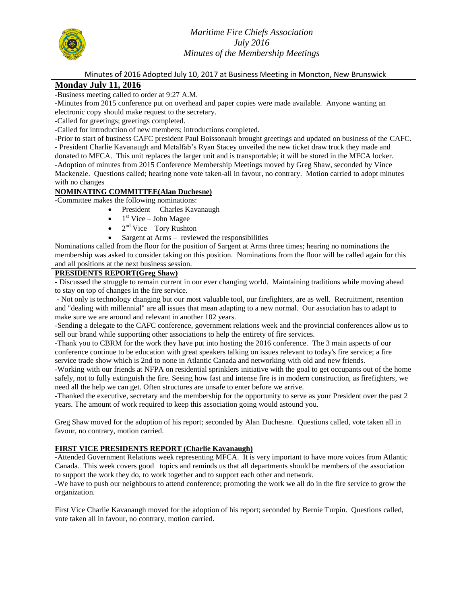

*Maritime Fire Chiefs Association July 2016 Minutes of the Membership Meetings*

Minutes of 2016 Adopted July 10, 2017 at Business Meeting in Moncton, New Brunswick

# **Monday July 11, 2016**

-Business meeting called to order at 9:27 A.M.

-Minutes from 2015 conference put on overhead and paper copies were made available. Anyone wanting an electronic copy should make request to the secretary.

-Called for greetings; greetings completed.

-Called for introduction of new members; introductions completed.

-Prior to start of business CAFC president Paul Boissonault brought greetings and updated on business of the CAFC. - President Charlie Kavanaugh and Metalfab's Ryan Stacey unveiled the new ticket draw truck they made and donated to MFCA. This unit replaces the larger unit and is transportable; it will be stored in the MFCA locker. -Adoption of minutes from 2015 Conference Membership Meetings moved by Greg Shaw, seconded by Vince Mackenzie. Questions called; hearing none vote taken-all in favour, no contrary. Motion carried to adopt minutes with no changes

### **NOMINATING COMMITTEE(Alan Duchesne)**

-Committee makes the following nominations:

- President Charles Kavanaugh
- $\bullet$  1<sup>st</sup> Vice John Magee
- $\bullet$  2<sup>nd</sup> Vice Tory Rushton
- Sargent at Arms reviewed the responsibilities

Nominations called from the floor for the position of Sargent at Arms three times; hearing no nominations the membership was asked to consider taking on this position. Nominations from the floor will be called again for this and all positions at the next business session.

### **PRESIDENTS REPORT(Greg Shaw)**

- Discussed the struggle to remain current in our ever changing world. Maintaining traditions while moving ahead to stay on top of changes in the fire service.

- Not only is technology changing but our most valuable tool, our firefighters, are as well. Recruitment, retention and "dealing with millennial" are all issues that mean adapting to a new normal. Our association has to adapt to make sure we are around and relevant in another 102 years.

-Sending a delegate to the CAFC conference, government relations week and the provincial conferences allow us to sell our brand while supporting other associations to help the entirety of fire services.

-Thank you to CBRM for the work they have put into hosting the 2016 conference. The 3 main aspects of our conference continue to be education with great speakers talking on issues relevant to today's fire service; a fire service trade show which is 2nd to none in Atlantic Canada and networking with old and new friends.

-Working with our friends at NFPA on residential sprinklers initiative with the goal to get occupants out of the home safely, not to fully extinguish the fire. Seeing how fast and intense fire is in modern construction, as firefighters, we need all the help we can get. Often structures are unsafe to enter before we arrive.

-Thanked the executive, secretary and the membership for the opportunity to serve as your President over the past 2 years. The amount of work required to keep this association going would astound you.

Greg Shaw moved for the adoption of his report; seconded by Alan Duchesne. Questions called, vote taken all in favour, no contrary, motion carried.

### **FIRST VICE PRESIDENTS REPORT (Charlie Kavanaugh)**

-Attended Government Relations week representing MFCA. It is very important to have more voices from Atlantic Canada. This week covers good topics and reminds us that all departments should be members of the association to support the work they do, to work together and to support each other and network.

-We have to push our neighbours to attend conference; promoting the work we all do in the fire service to grow the organization.

First Vice Charlie Kavanaugh moved for the adoption of his report; seconded by Bernie Turpin. Questions called, vote taken all in favour, no contrary, motion carried.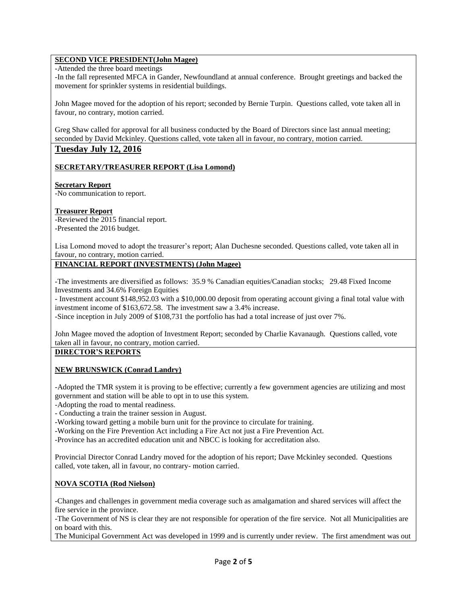# **SECOND VICE PRESIDENT(John Magee)**

-Attended the three board meetings

-In the fall represented MFCA in Gander, Newfoundland at annual conference. Brought greetings and backed the movement for sprinkler systems in residential buildings.

John Magee moved for the adoption of his report; seconded by Bernie Turpin. Questions called, vote taken all in favour, no contrary, motion carried.

Greg Shaw called for approval for all business conducted by the Board of Directors since last annual meeting; seconded by David Mckinley. Questions called, vote taken all in favour, no contrary, motion carried.

# **Tuesday July 12, 2016**

#### **SECRETARY/TREASURER REPORT (Lisa Lomond)**

### **Secretary Report**

-No communication to report.

### **Treasurer Report**

-Reviewed the 2015 financial report. -Presented the 2016 budget.

Lisa Lomond moved to adopt the treasurer's report; Alan Duchesne seconded. Questions called, vote taken all in favour, no contrary, motion carried.

## **FINANCIAL REPORT (INVESTMENTS) (John Magee)**

-The investments are diversified as follows: 35.9 % Canadian equities/Canadian stocks; 29.48 Fixed Income Investments and 34.6% Foreign Equities

- Investment account \$148,952.03 with a \$10,000.00 deposit from operating account giving a final total value with investment income of \$163,672.58. The investment saw a 3.4% increase.

-Since inception in July 2009 of \$108,731 the portfolio has had a total increase of just over 7%.

John Magee moved the adoption of Investment Report; seconded by Charlie Kavanaugh. Questions called, vote taken all in favour, no contrary, motion carried.

#### **DIRECTOR'S REPORTS**

#### **NEW BRUNSWICK (Conrad Landry)**

-Adopted the TMR system it is proving to be effective; currently a few government agencies are utilizing and most government and station will be able to opt in to use this system.

-Adopting the road to mental readiness.

- Conducting a train the trainer session in August.

-Working toward getting a mobile burn unit for the province to circulate for training.

-Working on the Fire Prevention Act including a Fire Act not just a Fire Prevention Act.

-Province has an accredited education unit and NBCC is looking for accreditation also.

Provincial Director Conrad Landry moved for the adoption of his report; Dave Mckinley seconded. Questions called, vote taken, all in favour, no contrary- motion carried.

#### **NOVA SCOTIA (Rod Nielson)**

-Changes and challenges in government media coverage such as amalgamation and shared services will affect the fire service in the province.

-The Government of NS is clear they are not responsible for operation of the fire service. Not all Municipalities are on board with this.

The Municipal Government Act was developed in 1999 and is currently under review. The first amendment was out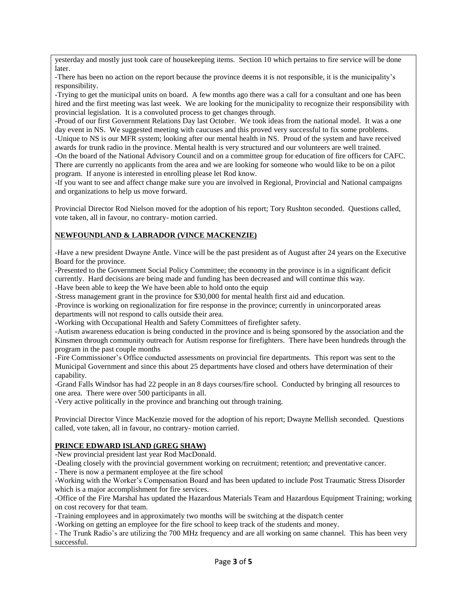yesterday and mostly just took care of housekeeping items. Section 10 which pertains to fire service will be done later.

-There has been no action on the report because the province deems it is not responsible, it is the municipality's responsibility.

-Trying to get the municipal units on board. A few months ago there was a call for a consultant and one has been hired and the first meeting was last week. We are looking for the municipality to recognize their responsibility with provincial legislation. It is a convoluted process to get changes through.

-Proud of our first Government Relations Day last October. We took ideas from the national model. It was a one day event in NS. We suggested meeting with caucuses and this proved very successful to fix some problems. -Unique to NS is our MFR system; looking after our mental health in NS. Proud of the system and have received awards for trunk radio in the province. Mental health is very structured and our volunteers are well trained. -On the board of the National Advisory Council and on a committee group for education of fire officers for CAFC. There are currently no applicants from the area and we are looking for someone who would like to be on a pilot program. If anyone is interested in enrolling please let Rod know.

-If you want to see and affect change make sure you are involved in Regional, Provincial and National campaigns and organizations to help us move forward.

Provincial Director Rod Nielson moved for the adoption of his report; Tory Rushton seconded. Questions called, vote taken, all in favour, no contrary- motion carried.

# **NEWFOUNDLAND & LABRADOR (VINCE MACKENZIE)**

-Have a new president Dwayne Antle. Vince will be the past president as of August after 24 years on the Executive Board for the province.

-Presented to the Government Social Policy Committee; the economy in the province is in a significant deficit currently. Hard decisions are being made and funding has been decreased and will continue this way. -Have been able to keep the We have been able to hold onto the equip

-Stress management grant in the province for \$30,000 for mental health first aid and education.

-Province is working on regionalization for fire response in the province; currently in unincorporated areas departments will not respond to calls outside their area.

-Working with Occupational Health and Safety Committees of firefighter safety.

-Autism awareness education is being conducted in the province and is being sponsored by the association and the Kinsmen through community outreach for Autism response for firefighters. There have been hundreds through the program in the past couple months

-Fire Commissioner's Office conducted assessments on provincial fire departments. This report was sent to the Municipal Government and since this about 25 departments have closed and others have determination of their capability.

-Grand Falls Windsor has had 22 people in an 8 days courses/fire school. Conducted by bringing all resources to one area. There were over 500 participants in all.

-Very active politically in the province and branching out through training.

Provincial Director Vince MacKenzie moved for the adoption of his report; Dwayne Mellish seconded. Questions called, vote taken, all in favour, no contrary- motion carried.

#### **PRINCE EDWARD ISLAND (GREG SHAW)**

-New provincial president last year Rod MacDonald.

-Dealing closely with the provincial government working on recruitment; retention; and preventative cancer.

- There is now a permanent employee at the fire school

-Working with the Worker's Compensation Board and has been updated to include Post Traumatic Stress Disorder which is a major accomplishment for fire services.

-Office of the Fire Marshal has updated the Hazardous Materials Team and Hazardous Equipment Training; working on cost recovery for that team.

-Training employees and in approximately two months will be switching at the dispatch center

-Working on getting an employee for the fire school to keep track of the students and money.

- The Trunk Radio's are utilizing the 700 MHz frequency and are all working on same channel. This has been very successful.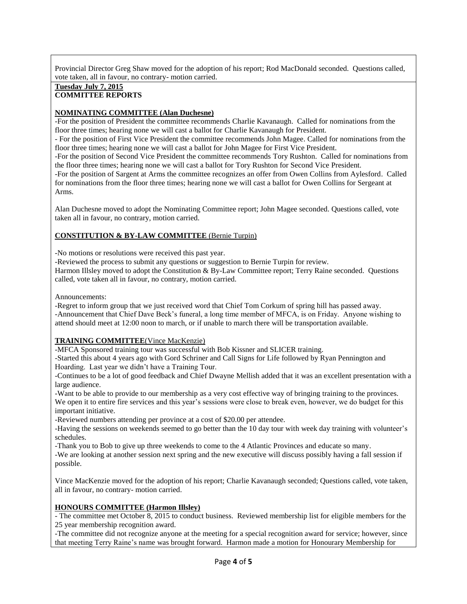Provincial Director Greg Shaw moved for the adoption of his report; Rod MacDonald seconded. Questions called, vote taken, all in favour, no contrary- motion carried.

### **Tuesday July 7, 2015 COMMITTEE REPORTS**

## **NOMINATING COMMITTEE (Alan Duchesne)**

-For the position of President the committee recommends Charlie Kavanaugh. Called for nominations from the floor three times; hearing none we will cast a ballot for Charlie Kavanaugh for President.

- For the position of First Vice President the committee recommends John Magee. Called for nominations from the floor three times; hearing none we will cast a ballot for John Magee for First Vice President.

-For the position of Second Vice President the committee recommends Tory Rushton. Called for nominations from the floor three times; hearing none we will cast a ballot for Tory Rushton for Second Vice President.

-For the position of Sargent at Arms the committee recognizes an offer from Owen Collins from Aylesford. Called for nominations from the floor three times; hearing none we will cast a ballot for Owen Collins for Sergeant at Arms.

Alan Duchesne moved to adopt the Nominating Committee report; John Magee seconded. Questions called, vote taken all in favour, no contrary, motion carried.

# **CONSTITUTION & BY-LAW COMMITTEE** (Bernie Turpin)

-No motions or resolutions were received this past year.

-Reviewed the process to submit any questions or suggestion to Bernie Turpin for review.

Harmon Illsley moved to adopt the Constitution & By-Law Committee report; Terry Raine seconded. Questions called, vote taken all in favour, no contrary, motion carried.

Announcements:

-Regret to inform group that we just received word that Chief Tom Corkum of spring hill has passed away. -Announcement that Chief Dave Beck's funeral, a long time member of MFCA, is on Friday. Anyone wishing to attend should meet at 12:00 noon to march, or if unable to march there will be transportation available.

### **TRAINING COMMITTEE**(Vince MacKenzie)

-MFCA Sponsored training tour was successful with Bob Kissner and SLICER training.

-Started this about 4 years ago with Gord Schriner and Call Signs for Life followed by Ryan Pennington and Hoarding. Last year we didn't have a Training Tour.

-Continues to be a lot of good feedback and Chief Dwayne Mellish added that it was an excellent presentation with a large audience.

-Want to be able to provide to our membership as a very cost effective way of bringing training to the provinces. We open it to entire fire services and this year's sessions were close to break even, however, we do budget for this important initiative.

-Reviewed numbers attending per province at a cost of \$20.00 per attendee.

-Having the sessions on weekends seemed to go better than the 10 day tour with week day training with volunteer's schedules.

-Thank you to Bob to give up three weekends to come to the 4 Atlantic Provinces and educate so many.

-We are looking at another session next spring and the new executive will discuss possibly having a fall session if possible.

Vince MacKenzie moved for the adoption of his report; Charlie Kavanaugh seconded; Questions called, vote taken, all in favour, no contrary- motion carried.

### **HONOURS COMMITTEE (Harmon Illsley)**

- The committee met October 8, 2015 to conduct business. Reviewed membership list for eligible members for the 25 year membership recognition award.

-The committee did not recognize anyone at the meeting for a special recognition award for service; however, since that meeting Terry Raine's name was brought forward. Harmon made a motion for Honourary Membership for